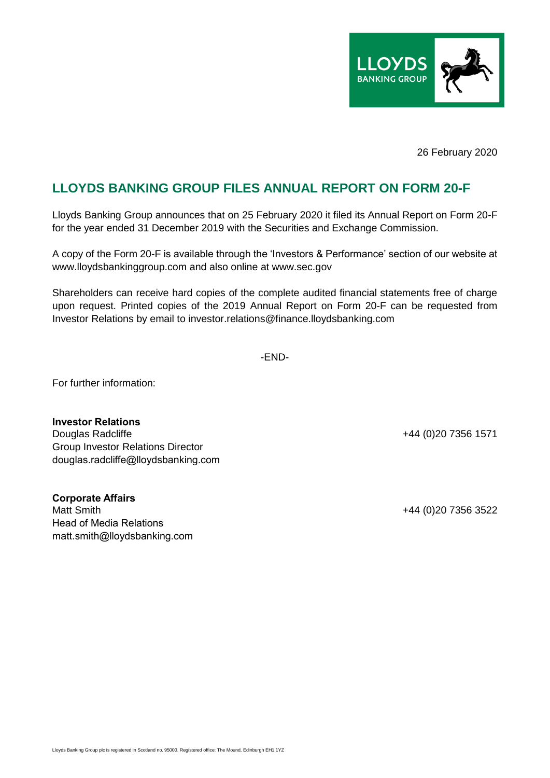

26 February 2020

## **LLOYDS BANKING GROUP FILES ANNUAL REPORT ON FORM 20-F**

Lloyds Banking Group announces that on 25 February 2020 it filed its Annual Report on Form 20-F for the year ended 31 December 2019 with the Securities and Exchange Commission.

A copy of the Form 20-F is available through the 'Investors & Performance' section of our website at www.lloydsbankinggroup.com and also online at www.sec.gov

Shareholders can receive hard copies of the complete audited financial statements free of charge upon request. Printed copies of the 2019 Annual Report on Form 20-F can be requested from Investor Relations by email to investor.relations@finance.lloydsbanking.com

-END-

For further information:

**Investor Relations** Douglas Radcliffe +44 (0)20 7356 1571 Group Investor Relations Director douglas.radcliffe@lloydsbanking.com

**Corporate Affairs** Matt Smith +44 (0)20 7356 3522 Head of Media Relations matt.smith@lloydsbanking.com